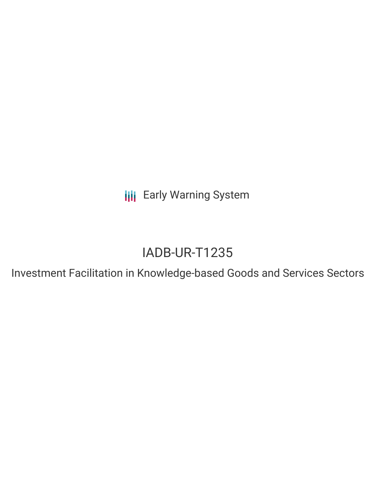**III** Early Warning System

# IADB-UR-T1235

Investment Facilitation in Knowledge-based Goods and Services Sectors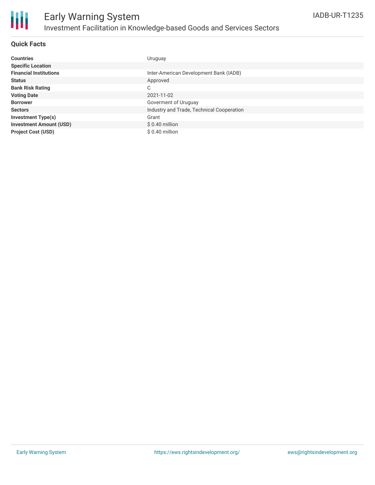

# Early Warning System Investment Facilitation in Knowledge-based Goods and Services Sectors

### **Quick Facts**

| <b>Countries</b>               | Uruguay                                   |
|--------------------------------|-------------------------------------------|
| <b>Specific Location</b>       |                                           |
| <b>Financial Institutions</b>  | Inter-American Development Bank (IADB)    |
| <b>Status</b>                  | Approved                                  |
| <b>Bank Risk Rating</b>        | C                                         |
| <b>Voting Date</b>             | 2021-11-02                                |
| <b>Borrower</b>                | Goverment of Uruguay                      |
| <b>Sectors</b>                 | Industry and Trade, Technical Cooperation |
| <b>Investment Type(s)</b>      | Grant                                     |
| <b>Investment Amount (USD)</b> | $$0.40$ million                           |
| <b>Project Cost (USD)</b>      | $$0.40$ million                           |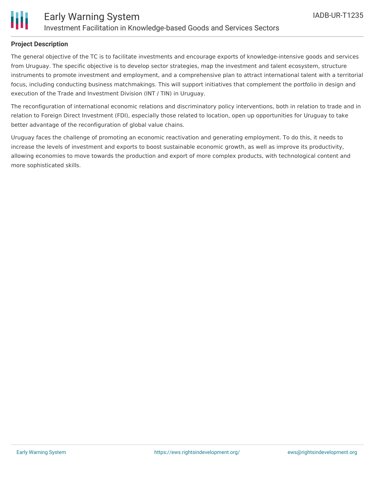

### **Project Description**

The general objective of the TC is to facilitate investments and encourage exports of knowledge-intensive goods and services from Uruguay. The specific objective is to develop sector strategies, map the investment and talent ecosystem, structure instruments to promote investment and employment, and a comprehensive plan to attract international talent with a territorial focus, including conducting business matchmakings. This will support initiatives that complement the portfolio in design and execution of the Trade and Investment Division (INT / TIN) in Uruguay.

The reconfiguration of international economic relations and discriminatory policy interventions, both in relation to trade and in relation to Foreign Direct Investment (FDI), especially those related to location, open up opportunities for Uruguay to take better advantage of the reconfiguration of global value chains.

Uruguay faces the challenge of promoting an economic reactivation and generating employment. To do this, it needs to increase the levels of investment and exports to boost sustainable economic growth, as well as improve its productivity, allowing economies to move towards the production and export of more complex products, with technological content and more sophisticated skills.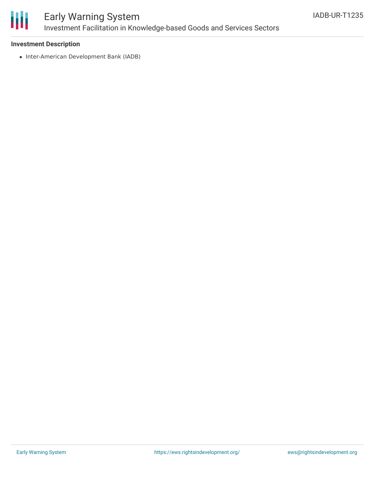

# Early Warning System Investment Facilitation in Knowledge-based Goods and Services Sectors

### **Investment Description**

• Inter-American Development Bank (IADB)